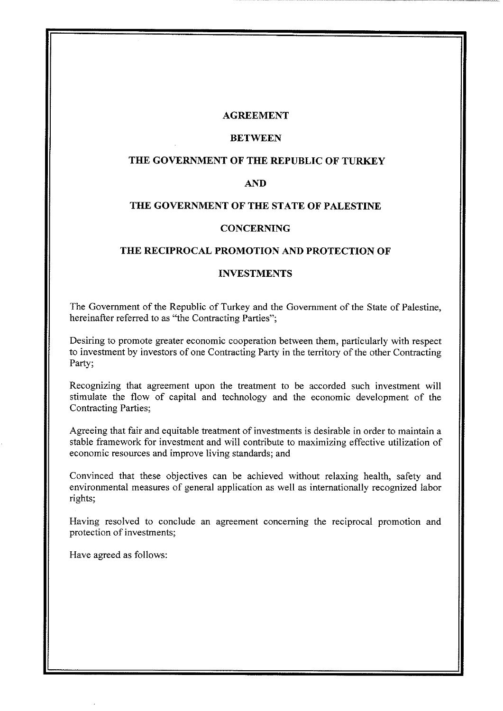### **AGREEMENT**

#### **BETWEEN**

#### **THE GOVERNMENT OF THE REPUBLIC OF TURKEY**

### **AND**

### **THE GOVERNMENT OF THE STATE OF PALESTINE**

### **CONCERNING**

### **THE RECIPROCAL PROMOTION AND PROTECTION OF**

### **INVESTMENTS**

The Government of the Republic of Turkey and the Government of the State of Palestine, hereinafter referred to as "the Contracting Parties";

Desiring to promote greater economic cooperation between them, particularly with respect to investment by investors of one Contracting Party in the territory of the other Contracting Party;

Recognizing that agreement upon the treatment to be accorded such investment will stimulate the flow of capital and technology and the economic development of the Contracting Parties;

Agreeing that fair and equitable treatment of investments is desirable in order to maintain a stable framework for investment and will contribute to maximizing effective utilization of economic resources and improve living standards; and

Convinced that these objectives can be achieved without relaxing health, safety and environmental measures of general application as well as internationally recognized labor rights;

Having resolved to conclude an agreement concerning the reciprocal promotion and protection of investments;

Have agreed as follows: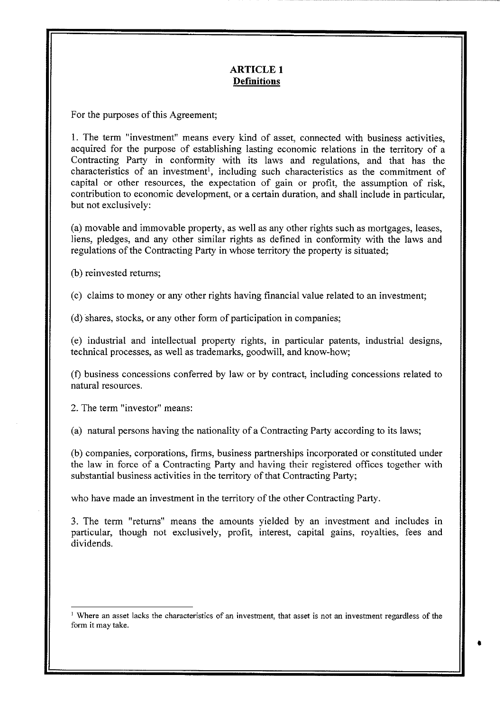## **ARTICLE 1 Definitions**

For the purposes of this Agreement;

1. The term "investment" means every kind of asset, connected with business activities, acquired for the purpose of establishing lasting economic relations in the territory of a Contracting Party in conformity with its laws and regulations, and that has the characteristics of an investment<sup>1</sup>, including such characteristics as the commitment of capital or other resources, the expectation of gain or profit, the assumption of risk, contribution to economic development, or a certain duration, and shall include in particular, but not exclusively:

(a) movable and immovable property, as well as any other rights such as mortgages, leases, liens, pledges, and any other similar rights as defined in conformity with the laws and regulations of the Contracting Party in whose territory the property is situated;

(b) reinvested returns;

( c) claims to money or any other rights having financial value related to an investment;

( d) shares, stocks, or any other form of participation in companies;

( e) industrial and intellectual property rights, in particular patents, industrial designs, technical processes, as well as trademarks, goodwill, and know-how;

(f) business concessions conferred by law or by contract, including concessions related to natural resources.

2. The term "investor" means:

(a) natural persons having the nationality of a Contracting Party according to its laws;

(b) companies, corporations, firms, business partnerships incorporated or constituted under the law in force of a Contracting Party and having their registered offices together with substantial business activities in the territory of that Contracting Party;

who have made an investment in the territory of the other Contracting Party.

3. The term "returns" means the amounts yielded by an investment and includes in particular, though not exclusively, profit, interest, capital gains, royalties, fees and dividends.

<sup>&</sup>lt;sup>1</sup> Where an asset lacks the characteristics of an investment, that asset is not an investment regardless of the form it may take.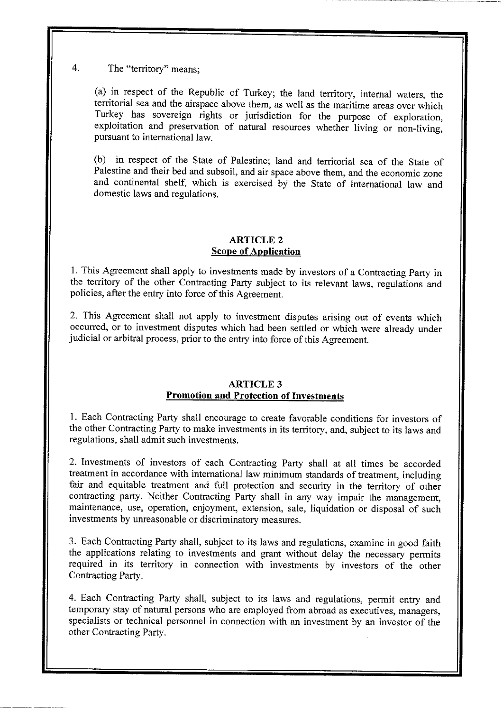4. The "territory" means;

(a) in respect of the Republic of Turkey; the land territory, internal waters, the territorial sea and the airspace above them, as well as the maritime areas over which Turkey has sovereign rights or jurisdiction for the purpose of exploration, exploitation and preservation of natural resources whether living or non-living, pursuant to international law.

(b) in respect of the State of Palestine; land and territorial sea of the State of Palestine and their bed and subsoil, and air space above them, and the economic zone and continental shelf, which is exercised by the State of international law and domestic laws and regulations.

## **ARTICLE2 Scope of Application**

1. This Agreement shall apply to investments made by investors of a Contracting Party in the territory of the other Contracting Party subject to its relevant laws, regulations and policies, after the entry into force of this Agreement.

2. This Agreement shall not apply to investment disputes arising out of events which occurred, or to investment disputes which had been settled or which were already under judicial or arbitral process, prior to the entry into force of this Agreement.

## **ARTICLE3 Promotion and Protection of Investments**

1. Each Contracting Party shall encourage to create favorable conditions for investors of the other Contracting Party to make investments in its territory, and, subject to its laws and regulations, shall admit such investments.

2. Investments of investors of each Contracting Party shall at all times be accorded treatment in accordance with international law minimum standards of treatment, including fair and equitable treatment and full protection and security in the territory of other contracting party. Neither Contracting Party shall in any way impair the management, maintenance, use, operation, enjoyment, extension, sale, liquidation or disposal of such investments by unreasonable or discriminatory measures.

3. Each Contracting Party shall, subject to its laws and regulations, examine in good faith the applications relating to investments and grant without delay the necessary permits required in its territory in connection with investments by investors of the other Contracting Party.

4. Each Contracting Party shall, subject to its laws and regulations, permit entry and temporary stay of natural persons who are employed from abroad as executives, managers, specialists or technical personnel in connection with an investment by an investor of the other Contracting Party.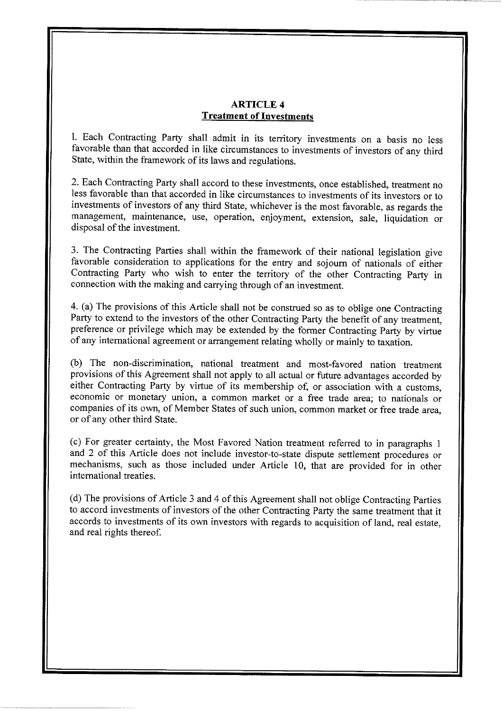### **ARTICLE4 Treatment of Investments**

I. Each Contracting Party shall admit in its territory investments on a basis no less favorable than that accorded in like circumstances to investments of investors of any third State, within the framework of its laws and regulations.

2. Each Contracting Party shall accord to these investments, once established, treatment no less favorable than that accorded in like circumstances to investments of its investors or to investments of investors of any third State, whichever is the most favorable, as regards the management, maintenance, use, operation, enjoyment, extension, sale, liquidation or disposal of the investment.

3. The Contracting Parties shall within the framework of their national legislation give favorable consideration to applications for the entry and sojourn of nationals of either Contracting Party who wish to enter the territory of the other Contracting Party in connection with the making and carrying through of an investment.

4. (a) The provisions of this Article shall not be construed so as to oblige one Contracting Party to extend to the investors of the other Contracting Party the benefit of any treatment, preference or privilege which may be extended by the former Contracting Party by virtue of any international agreement or arrangement relating wholly or mainly to taxation.

(b) The non-discrimination, national treatment and most-favored nation treatment provisions of this Agreement shall not apply to all actual or future advantages accorded by either Contracting Party by virtue of its membership of, or association with a customs, economic or monetary union, a common market or a free trade area; to nationals or companies of its own, of Member States of such union, common market or free trade area, or of any other third State.

(c) For greater certainty, the Most Favored Nation treatment referred to in paragraphs I and 2 of this Article does not include investor-to-state dispute settlement procedures or mechanisms, such as those included under Article 10, that are provided for in other international treaties.

(d) The provisions of Article 3 and 4 of this Agreement shall not oblige Contracting Parties to accord investments of investors of the other Contracting Party the same treatment that it accords to investments of its own investors with regards to acquisition of land, real estate, and real rights thereof.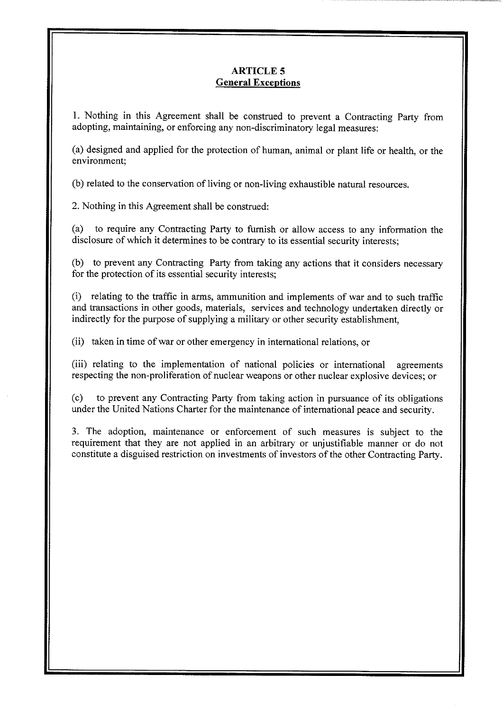## **ARTICLE 5 General Exceptions**

1. Nothing in this Agreement shall be construed to prevent a Contracting Party from adopting, maintaining, or enforcing any non-discriminatory legal measures:

(a) designed and applied for the protection of human, animal or plant life or health, or the environment;

(b) related to the conservation of living or non-living exhaustible natural resources.

2. Nothing in this Agreement shall be construed:

(a) to require any Contracting Party to furnish or allow access to any information the disclosure of which it determines to be contrary to its essential security interests;

(b) to prevent any Contracting Party from taking any actions that it considers necessary for the protection of its essential security interests;

(i) relating to the traffic in arms, ammunition and implements of war and to such traffic and transactions in other goods, materials, services and technology undertaken directly or indirectly for the purpose of supplying a military or other security establishment,

(ii) taken in time of war or other emergency in international relations, or

(iii) relating to the implementation of national policies or international agreements respecting the non-proliferation of nuclear weapons or other nuclear explosive devices; or

( c) to prevent any Contracting Party from taking action in pursuance of its obligations under the United Nations Charter for the maintenance of international peace and security.

3. The adoption, maintenance or enforcement of such measures is subject to the requirement that they are not applied in an arbitrary or unjustifiable manner or do not constitute a disguised restriction on investments of investors of the other Contracting Party.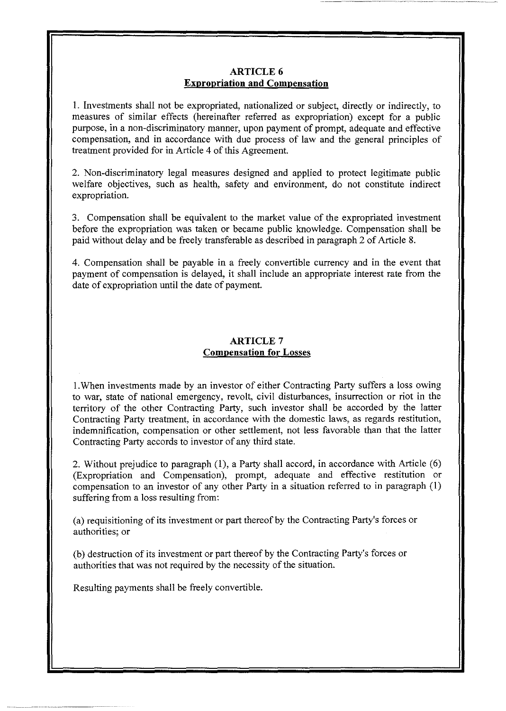## **ARTICLE 6 Expropriation and Compensation**

I. Investments shall not be expropriated, nationalized or subject, directly or indirectly, to measures of similar effects (hereinafter referred as expropriation) except for a public purpose, in a non-discriminatory manner, upon payment of prompt, adequate and effective compensation, and in accordance with due process of law and the general principles of treatment provided for in Article 4 of this Agreement.

2. Non-discriminatory legal measures designed and applied to protect legitimate public welfare objectives, such as health, safety and environment, do not constitute indirect expropriation.

3. Compensation shall be equivalent to the market value of the expropriated investment before the expropriation was taken or became public knowledge. Compensation shall be paid without delay and be freely transferable as described in paragraph 2 of Article 8.

4. Compensation shall be payable in a freely convertible currency and in the event that payment of compensation is delayed, it shall include an appropriate interest rate from the date of expropriation until the date of payment.

## **ARTICLE? Compensation for Losses**

I. When investments made by an investor of either Contracting Party suffers a loss owing to war, state of national emergency, revolt, civil disturbances, insurrection or riot in the territory of the other Contracting Party, such investor shall be accorded by the latter Contracting Party treatment, in accordance with the domestic laws, as regards restitution, indemnification, compensation or other settlement, not less favorable than that the latter Contracting Party accords to investor of any third state.

2. Without prejudice to paragraph (1), a Party shall accord, in accordance with Article (6) (Expropriation and Compensation), prompt, adequate and effective restitution or compensation to an investor of any other Party in a situation referred to in paragraph ( 1) suffering from a loss resulting from:

(a) requisitioning of its investment or part thereof by the Contracting Party's forces or authorities; or

(b) destruction of its investment or part thereof by the Contracting Party's forces or authorities that was not required by the necessity of the situation.

Resulting payments shall be freely convertible.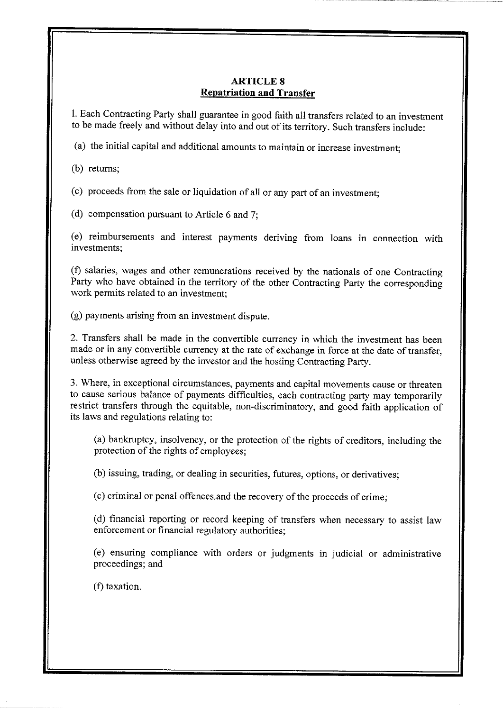## **ARTICLES Repatriation and Transfer**

I. Each Contracting Party shall guarantee in good faith all transfers related to an investment to be made freely and without delay into and out of its territory. Such transfers include:

(a) the initial capital and additional amounts to maintain or increase investment;

(b) returns;

( c) proceeds from the sale or liquidation of all or any part of an investment;

(d) compensation pursuant to Article 6 and 7;

( e) reimbursements and interest payments deriving from loans in connection with investments;

(f) salaries, wages and other remunerations received by the nationals of one Contracting Party who have obtained in the territory of the other Contracting Party the corresponding work permits related to an investment;

(g) payments arising from an investment dispute.

2. Transfers shall be made in the convertible currency in which the investment has been made or in any convertible currency at the rate of exchange in force at the date of transfer, unless otherwise agreed by the investor and the hosting Contracting Party.

3. Where, in exceptional circumstances, payments and capital movements cause or threaten to cause serious balance of payments difficulties, each contracting party may temporarily restrict transfers through the equitable, non-discriminatory, and good faith application of its laws and regulations relating to:

(a) bankruptcy, insolvency, or the protection of the rights of creditors, including the protection of the rights of employees;

(b) issuing, trading, or dealing in securities, futures, options, or derivatives;

(c) criminal or penal offences.and the recovery of the proceeds of crime;

( d) financial reporting or record keeping of transfers when necessary to assist law enforcement or financial regulatory authorities;

(e) ensuring compliance with orders or judgments in judicial or administrative proceedings; and

(f) taxation.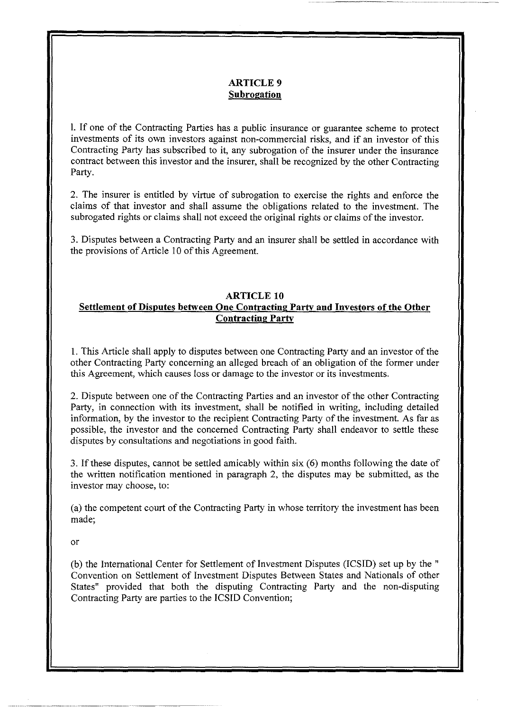## **ARTICLE9 Subrogation**

I. If one of the Contracting Parties has a public insurance or guarantee scheme to protect investments of its own investors against non-commercial risks, and if an investor of this Contracting Party has subscribed to it, any subrogation of the insurer under the insurance contract between this investor and the insurer, shall be recognized by the other Contracting Party.

2. The insurer is entitled by virtue of subrogation to exercise the rights and enforce the claims of that investor and shall assume the obligations related to the investment. The subrogated rights or claims shall not exceed the original rights or claims of the investor.

3. Disputes between a Contracting Party and an insurer shall be settled in accordance with the provisions of Article 10 of this Agreement.

### **ARTICLE 10 Settlement of Disputes between One Contracting Party and Investors of the Other Contracting Party**

1. This Article shall apply to disputes between one Contracting Party and an investor of the other Contracting Party concerning an alleged breach of an obligation of the former under this Agreement, which causes loss or damage to the investor or its investments.

2. Dispute between one of the Contracting Parties and an investor of the other Contracting Party, in connection with its investment, shall be notified in writing, including detailed information, by the investor to the recipient Contracting Party of the investment. As far as possible, the investor and the concerned Contracting Party shall endeavor to settle these disputes by consultations and negotiations in good faith.

3. If these disputes, cannot be settled amicably within six (6) months following the date of the written notification mentioned in paragraph 2, the disputes may be submitted, as the investor may choose, to:

(a) the competent court of the Contracting Party in whose territory the investment has been made;

or

(b) the International Center for Settlement of Investment Disputes (ICSID) set up by the " Convention on Settlement of Investment Disputes Between States and Nationals of other States" provided that both the disputing Contracting Party and the non-disputing Contracting Party are parties to the ICSID Convention;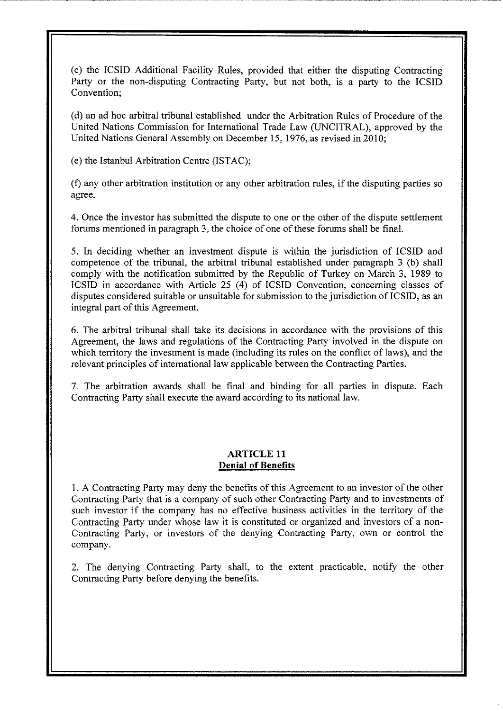( c) the IC SID Additional Facility Rules, provided that either the disputing Contracting Party or the non-disputing Contracting Party, but not both, is a party to the ICSID Convention;

(d) an ad hoc arbitral tribunal established under the Arbitration Rules of Procedure of the United Nations Commission for International Trade Law (UNCITRAL), approved by the United Nations General Assembly on December 15, 1976, as revised in 2010;

(e) the Istanbul Arbitration Centre (ISTAC);

(f) any other arbitration institution or any other arbitration rules, if the disputing parties so agree.

4. Once the investor has submitted the dispute to one or the other of the dispute settlement forums mentioned in paragraph 3, the choice of one of these forums shall be final.

5. In deciding whether an investment dispute is within the jurisdiction of ICSID and competence of the tribunal, the arbitral tribunal established under paragraph 3 (b) shall comply with the notification submitted by the Republic of Turkey on March 3, 1989 to ICSID in accordance with Article 25 (4) of ICSID Convention, concerning classes of disputes considered suitable or unsuitable for submission to the jurisdiction of ICSID, as an integral part of this Agreement.

6. The arbitral tribunal shall take its decisions in accordance with the provisions of this Agreement, the laws and regulations of the Contracting Party involved in the dispute on which territory the investment is made (including its rules on the conflict of laws), and the relevant principles of international law applicable between the Contracting Parties.

7. The arbitration awards shall be final and binding for all parties in dispute. Each Contracting Party shall execute the award according to its national law.

### **ARTICLE 11 Denial of Benefits**

1. A Contracting Party may deny the benefits of this Agreement to an investor of the other Contracting Party that is a company of such other Contracting Party and to investments of such investor if the company has no effective business activities in the territory of the Contracting Party under whose law it is constituted or organized and investors of a non-Contracting Party, or investors of the denying Contracting Party, own or control the company.

2. The denying Contracting Party shall, to the extent practicable, notify the other Contracting Party before denying the benefits.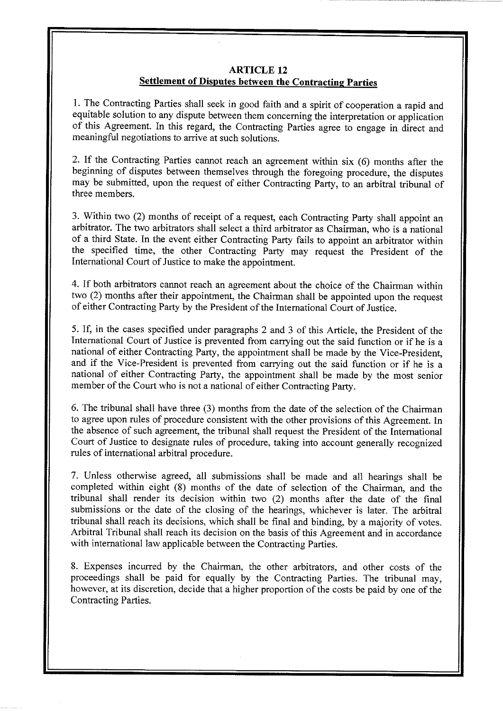## **ARTICLE 12 Settlement of Disputes between the Contracting Parties**

I. The Contracting Parties shall seek in good faith and a spirit of cooperation a rapid and equitable solution to any dispute between them concerning the interpretation or application of this Agreement. In this regard, the Contracting Parties agree to engage in direct and meaningful negotiations to arrive at such solutions.

2. If the Contracting Parties cannot reach an agreement within six (6) months after the beginning of disputes between themselves through the foregoing procedure, the disputes may be submitted, upon the request of either Contracting Party, to an arbitral tribunal of three members.

3. Within two (2) months of receipt of a request, each Contracting Party shall appoint an arbitrator. The two arbitrators shall select a third arbitrator as Chairman, who is a national of a third State. In the event either Contracting Party fails to appoint an arbitrator within the specified time, the other Contracting Party may request the President of the International Court of Justice to make the appointment.

4. If both arbitrators cannot reach an agreement about the choice of the Chairman within two (2) months after their appointment, the Chairman shall be appointed upon the request of either Contracting Party by the President of the International Court of Justice.

5. If, in the cases specified under paragraphs 2 and 3 of this Article, the President of the International Court of Justice is prevented from carrying out the said function or if he is a national of either Contracting Party, the appointment shall be made by the Vice-President, and if the Vice-President is prevented from carrying out the said function or if he is a national of either Contracting Party, the appointment shall be made by the most senior member of the Court who is not a national of either Contracting Party.

6. The tribunal shall have three (3) months from the date of the selection of the Chairman to agree upon rules of procedure consistent with the other provisions of this Agreement. In the absence of such agreement, the tribunal shall request the President of the International Court of Justice to designate rules of procedure, taking into account generally recognized rules of international arbitral procedure.

7. Unless otherwise agreed, all submissions shall be made and all hearings shall be completed within eight (8) months of the date of selection of the Chairman, and the tribunal shall render its decision within two (2) months after the date of the final submissions or the date of the closing of the hearings, whichever is later. The arbitral tribunal shall reach its decisions, which shall be final and binding, by a majority of votes. Arbitral Tribunal shall reach its decision on the basis of this Agreement and in accordance with international law applicable between the Contracting Parties.

8. Expenses incurred by the Chairman, the other arbitrators, and other costs of the proceedings shall be paid for equally by the Contracting Parties. The tribunal may, however, at its discretion, decide that a higher proportion of the costs be paid by one of the Contracting Parties.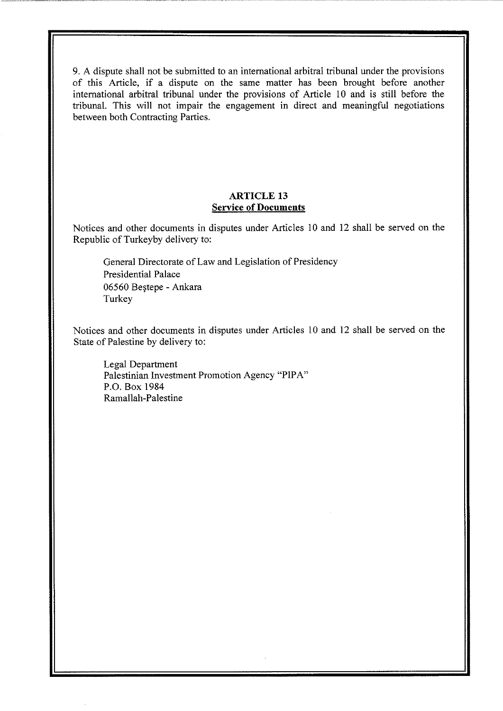9. A dispute shall not be submitted to an international arbitral tribunal under the provisions of this Article, if a dispute on the same matter has been brought before another international arbitral tribunal under the provisions of Article 10 and is still before the tribunal. This will not impair the engagement in direct and meaningful negotiations between both Contracting Parties.

### **ARTICLE 13 Service of Documents**

Notices and other documents in disputes under Articles 10 and 12 shall be served on the Republic of Turkeyby delivery to:

General Directorate of Law and Legislation of Presidency Presidential Palace 06560 Bestepe - Ankara Turkey

Notices and other documents in disputes under Articles IO and 12 shall be served on the State of Palestine by delivery to:

Legal Department Palestinian Investment Promotion Agency "PIPA" P.O. Box 1984 Ramallah-Palestine